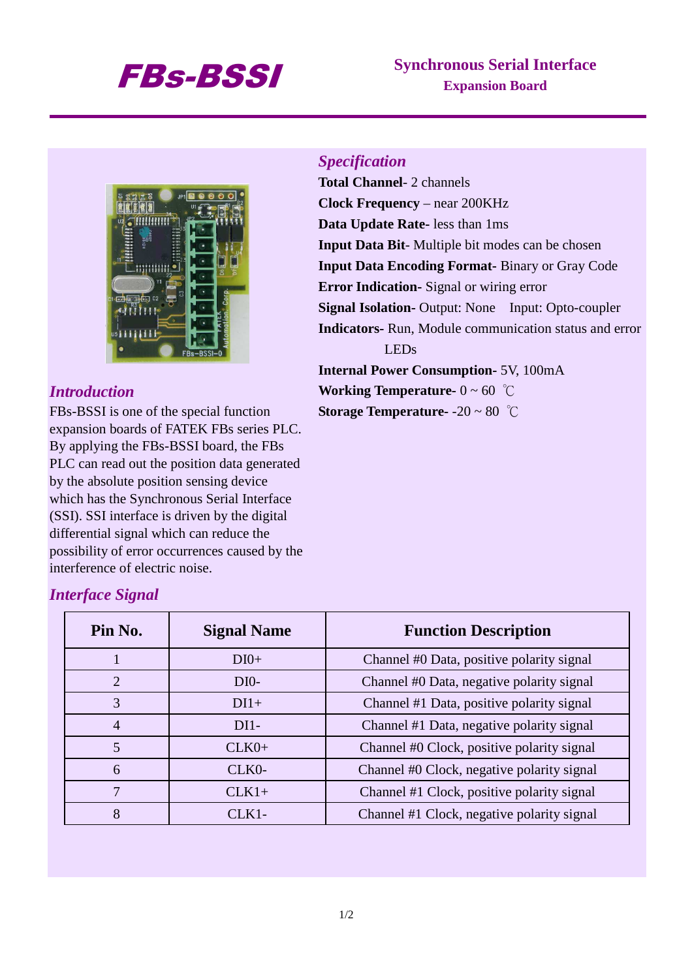# FBs-BSSI **Synchronous Serial Interface Expansion Board**



#### *Introduction*

FBs-BSSI is one of the special function expansion boards of FATEK FBs series PLC. By applying the FBs-BSSI board, the FBs PLC can read out the position data generated by the absolute position sensing device which has the Synchronous Serial Interface (SSI). SSI interface is driven by the digital differential signal which can reduce the possibility of error occurrences caused by the interference of electric noise.

# *Specification*

**Total Channel**- 2 channels **Clock Frequency** – near 200KHz **Data Update Rate-** less than 1ms **Input Data Bit**- Multiple bit modes can be chosen **Input Data Encoding Format-** Binary or Gray Code **Error Indication-** Signal or wiring error **Signal Isolation-** Output: None Input: Opto-coupler **Indicators-** Run, Module communication status and error LEDs **Internal Power Consumption-** 5V, 100mA

**Working Temperature-**  $0 \sim 60$  °C

**Storage Temperature-** -20 ~ 80 ℃

## *Interface Signal*

| Pin No.        | <b>Signal Name</b> | <b>Function Description</b>                |
|----------------|--------------------|--------------------------------------------|
|                | $DI0+$             | Channel #0 Data, positive polarity signal  |
| 2              | $DIO-$             | Channel #0 Data, negative polarity signal  |
| 3              | $DI1+$             | Channel #1 Data, positive polarity signal  |
| $\overline{4}$ | $DI1-$             | Channel #1 Data, negative polarity signal  |
| 5              | $CLK0+$            | Channel #0 Clock, positive polarity signal |
| 6              | CLK0-              | Channel #0 Clock, negative polarity signal |
|                | $CLK1+$            | Channel #1 Clock, positive polarity signal |
| 8              | CLK1-              | Channel #1 Clock, negative polarity signal |